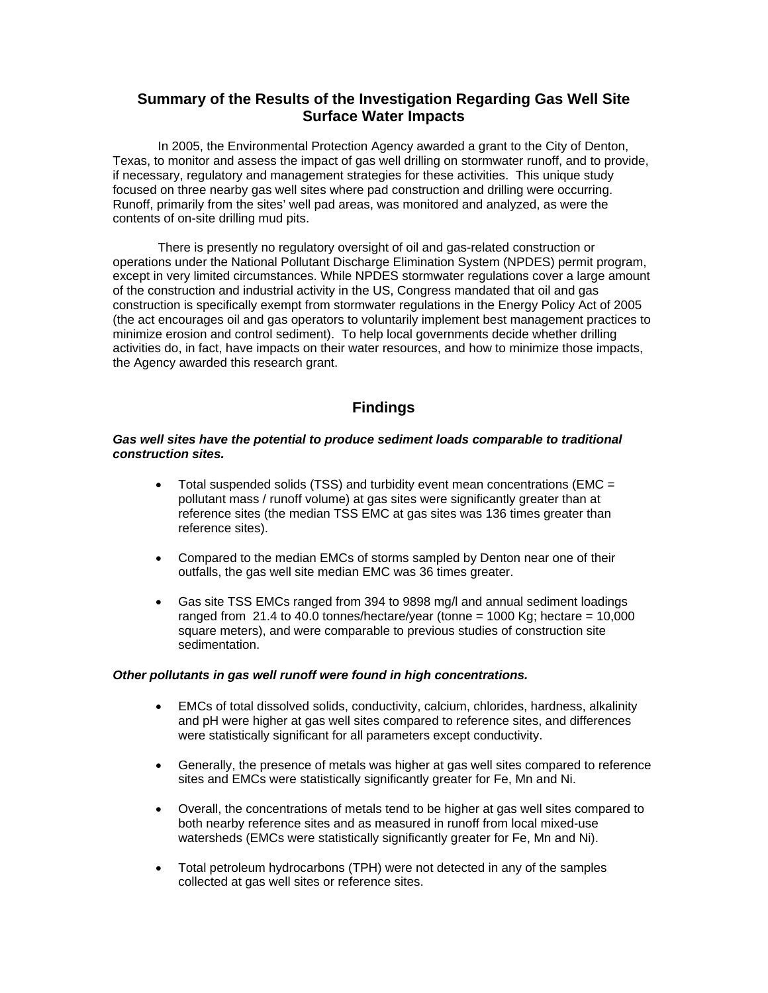# **Summary of the Results of the Investigation Regarding Gas Well Site Surface Water Impacts**

 In 2005, the Environmental Protection Agency awarded a grant to the City of Denton, Texas, to monitor and assess the impact of gas well drilling on stormwater runoff, and to provide, if necessary, regulatory and management strategies for these activities. This unique study focused on three nearby gas well sites where pad construction and drilling were occurring. Runoff, primarily from the sites' well pad areas, was monitored and analyzed, as were the contents of on-site drilling mud pits.

 There is presently no regulatory oversight of oil and gas-related construction or operations under the National Pollutant Discharge Elimination System (NPDES) permit program, except in very limited circumstances. While NPDES stormwater regulations cover a large amount of the construction and industrial activity in the US, Congress mandated that oil and gas construction is specifically exempt from stormwater regulations in the Energy Policy Act of 2005 (the act encourages oil and gas operators to voluntarily implement best management practices to minimize erosion and control sediment). To help local governments decide whether drilling activities do, in fact, have impacts on their water resources, and how to minimize those impacts, the Agency awarded this research grant.

# **Findings**

#### *Gas well sites have the potential to produce sediment loads comparable to traditional construction sites.*

- Total suspended solids (TSS) and turbidity event mean concentrations (EMC = pollutant mass / runoff volume) at gas sites were significantly greater than at reference sites (the median TSS EMC at gas sites was 136 times greater than reference sites).
- Compared to the median EMCs of storms sampled by Denton near one of their outfalls, the gas well site median EMC was 36 times greater.
- Gas site TSS EMCs ranged from 394 to 9898 mg/l and annual sediment loadings ranged from  $21.4$  to 40.0 tonnes/hectare/year (tonne = 1000 Kg; hectare = 10,000 square meters), and were comparable to previous studies of construction site sedimentation.

#### *Other pollutants in gas well runoff were found in high concentrations.*

- EMCs of total dissolved solids, conductivity, calcium, chlorides, hardness, alkalinity and pH were higher at gas well sites compared to reference sites, and differences were statistically significant for all parameters except conductivity.
- Generally, the presence of metals was higher at gas well sites compared to reference sites and EMCs were statistically significantly greater for Fe, Mn and Ni.
- Overall, the concentrations of metals tend to be higher at gas well sites compared to both nearby reference sites and as measured in runoff from local mixed-use watersheds (EMCs were statistically significantly greater for Fe, Mn and Ni).
- Total petroleum hydrocarbons (TPH) were not detected in any of the samples collected at gas well sites or reference sites.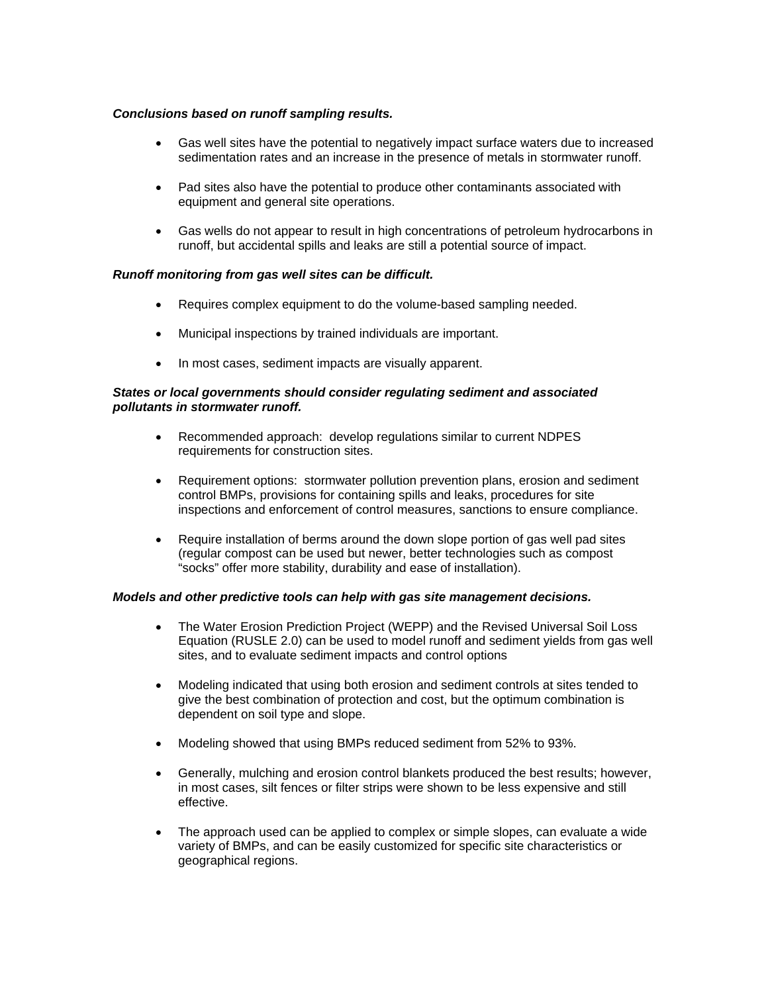# *Conclusions based on runoff sampling results.*

- Gas well sites have the potential to negatively impact surface waters due to increased sedimentation rates and an increase in the presence of metals in stormwater runoff.
- Pad sites also have the potential to produce other contaminants associated with equipment and general site operations.
- Gas wells do not appear to result in high concentrations of petroleum hydrocarbons in runoff, but accidental spills and leaks are still a potential source of impact.

#### *Runoff monitoring from gas well sites can be difficult.*

- Requires complex equipment to do the volume-based sampling needed.
- Municipal inspections by trained individuals are important.
- In most cases, sediment impacts are visually apparent.

#### *States or local governments should consider regulating sediment and associated pollutants in stormwater runoff.*

- Recommended approach: develop regulations similar to current NDPES requirements for construction sites.
- Requirement options: stormwater pollution prevention plans, erosion and sediment control BMPs, provisions for containing spills and leaks, procedures for site inspections and enforcement of control measures, sanctions to ensure compliance.
- Require installation of berms around the down slope portion of gas well pad sites (regular compost can be used but newer, better technologies such as compost "socks" offer more stability, durability and ease of installation).

#### *Models and other predictive tools can help with gas site management decisions.*

- The Water Erosion Prediction Project (WEPP) and the Revised Universal Soil Loss Equation (RUSLE 2.0) can be used to model runoff and sediment yields from gas well sites, and to evaluate sediment impacts and control options
- Modeling indicated that using both erosion and sediment controls at sites tended to give the best combination of protection and cost, but the optimum combination is dependent on soil type and slope.
- Modeling showed that using BMPs reduced sediment from 52% to 93%.
- Generally, mulching and erosion control blankets produced the best results; however, in most cases, silt fences or filter strips were shown to be less expensive and still effective.
- The approach used can be applied to complex or simple slopes, can evaluate a wide variety of BMPs, and can be easily customized for specific site characteristics or geographical regions.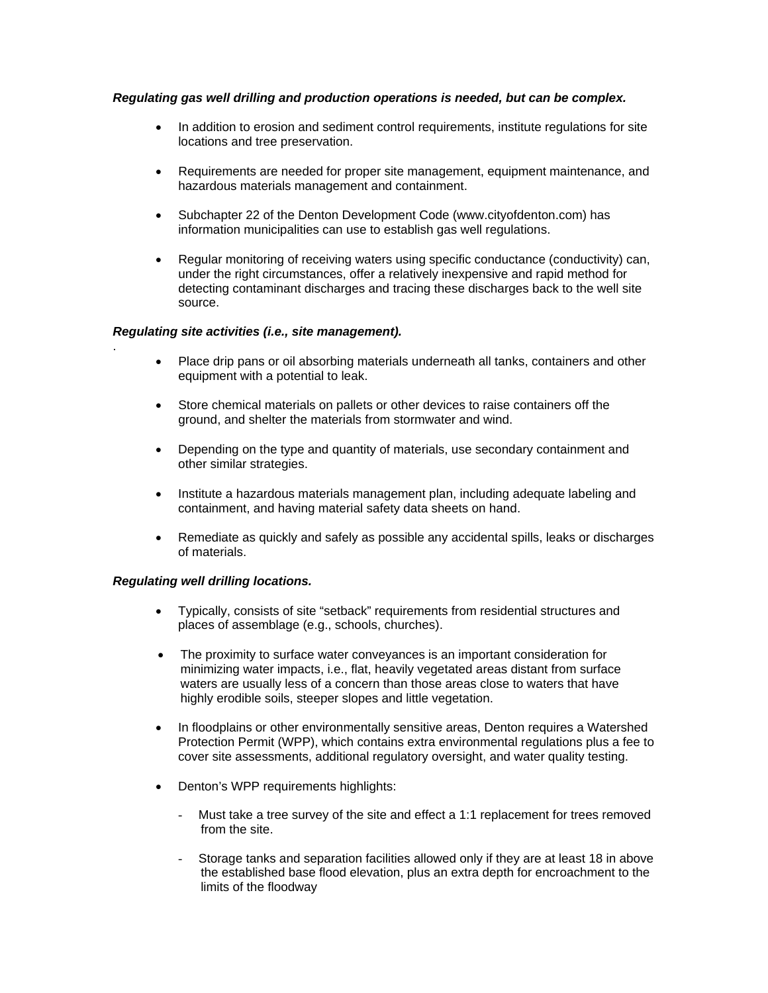# *Regulating gas well drilling and production operations is needed, but can be complex.*

- In addition to erosion and sediment control requirements, institute regulations for site locations and tree preservation.
- Requirements are needed for proper site management, equipment maintenance, and hazardous materials management and containment.
- Subchapter 22 of the Denton Development Code (www.cityofdenton.com) has information municipalities can use to establish gas well regulations.
- Regular monitoring of receiving waters using specific conductance (conductivity) can, under the right circumstances, offer a relatively inexpensive and rapid method for detecting contaminant discharges and tracing these discharges back to the well site source.

#### *Regulating site activities (i.e., site management).*

- Place drip pans or oil absorbing materials underneath all tanks, containers and other equipment with a potential to leak.
- Store chemical materials on pallets or other devices to raise containers off the ground, and shelter the materials from stormwater and wind.
- Depending on the type and quantity of materials, use secondary containment and other similar strategies.
- Institute a hazardous materials management plan, including adequate labeling and containment, and having material safety data sheets on hand.
- Remediate as quickly and safely as possible any accidental spills, leaks or discharges of materials.

#### *Regulating well drilling locations.*

.

- Typically, consists of site "setback" requirements from residential structures and places of assemblage (e.g., schools, churches).
- The proximity to surface water conveyances is an important consideration for minimizing water impacts, i.e., flat, heavily vegetated areas distant from surface waters are usually less of a concern than those areas close to waters that have highly erodible soils, steeper slopes and little vegetation.
- In floodplains or other environmentally sensitive areas, Denton requires a Watershed Protection Permit (WPP), which contains extra environmental regulations plus a fee to cover site assessments, additional regulatory oversight, and water quality testing.
- Denton's WPP requirements highlights:
	- Must take a tree survey of the site and effect a 1:1 replacement for trees removed from the site.
	- Storage tanks and separation facilities allowed only if they are at least 18 in above the established base flood elevation, plus an extra depth for encroachment to the limits of the floodway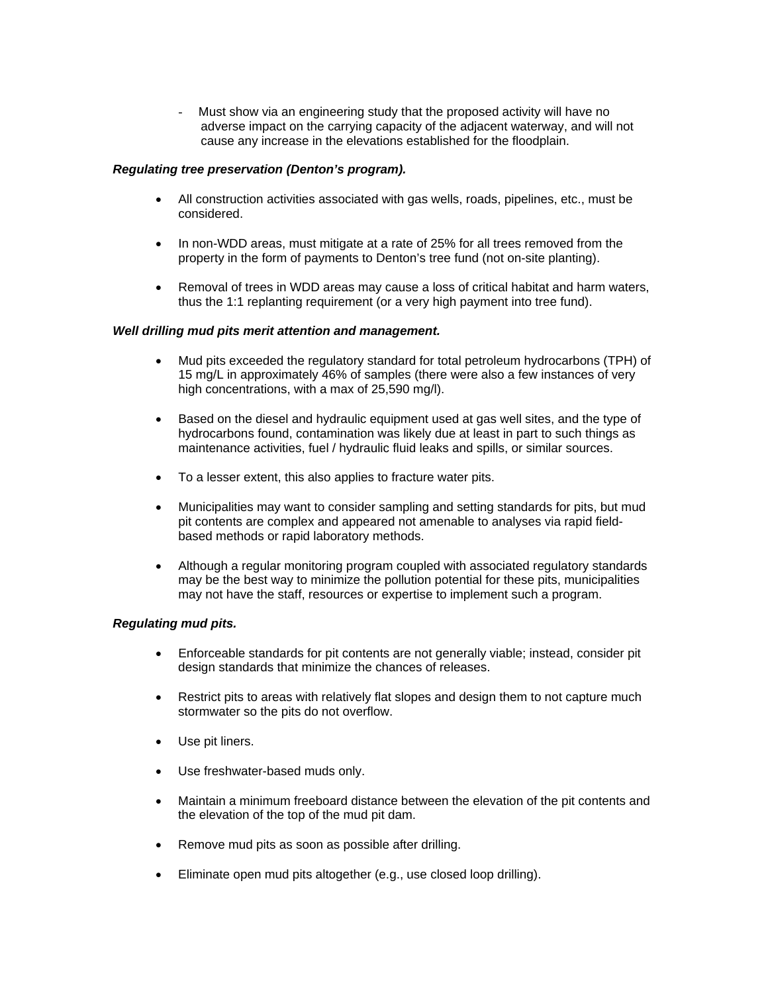- Must show via an engineering study that the proposed activity will have no adverse impact on the carrying capacity of the adjacent waterway, and will not cause any increase in the elevations established for the floodplain.

# *Regulating tree preservation (Denton's program).*

- All construction activities associated with gas wells, roads, pipelines, etc., must be considered.
- In non-WDD areas, must mitigate at a rate of 25% for all trees removed from the property in the form of payments to Denton's tree fund (not on-site planting).
- Removal of trees in WDD areas may cause a loss of critical habitat and harm waters, thus the 1:1 replanting requirement (or a very high payment into tree fund).

# *Well drilling mud pits merit attention and management.*

- Mud pits exceeded the regulatory standard for total petroleum hydrocarbons (TPH) of 15 mg/L in approximately 46% of samples (there were also a few instances of very high concentrations, with a max of 25,590 mg/l).
- Based on the diesel and hydraulic equipment used at gas well sites, and the type of hydrocarbons found, contamination was likely due at least in part to such things as maintenance activities, fuel / hydraulic fluid leaks and spills, or similar sources.
- To a lesser extent, this also applies to fracture water pits.
- Municipalities may want to consider sampling and setting standards for pits, but mud pit contents are complex and appeared not amenable to analyses via rapid fieldbased methods or rapid laboratory methods.
- Although a regular monitoring program coupled with associated regulatory standards may be the best way to minimize the pollution potential for these pits, municipalities may not have the staff, resources or expertise to implement such a program.

#### *Regulating mud pits.*

- Enforceable standards for pit contents are not generally viable; instead, consider pit design standards that minimize the chances of releases.
- Restrict pits to areas with relatively flat slopes and design them to not capture much stormwater so the pits do not overflow.
- Use pit liners.
- Use freshwater-based muds only.
- Maintain a minimum freeboard distance between the elevation of the pit contents and the elevation of the top of the mud pit dam.
- Remove mud pits as soon as possible after drilling.
- Eliminate open mud pits altogether (e.g., use closed loop drilling).